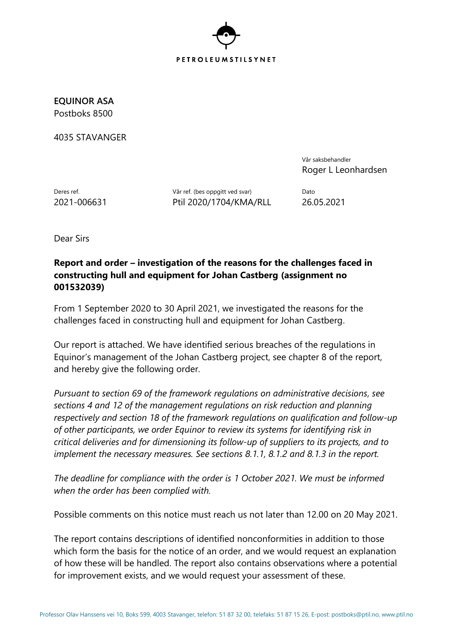

**EQUINOR ASA** Postboks 8500

4035 STAVANGER

Vår saksbehandler Roger L Leonhardsen

Deres ref. **Deres ref.** (bes oppgitt ved svar) Dato 2021-006631 Ptil 2020/1704/KMA/RLL 26.05.2021

Dear Sirs

## **Report and order – investigation of the reasons for the challenges faced in constructing hull and equipment for Johan Castberg (assignment no 001532039)**

From 1 September 2020 to 30 April 2021, we investigated the reasons for the challenges faced in constructing hull and equipment for Johan Castberg.

Our report is attached. We have identified serious breaches of the regulations in Equinor's management of the Johan Castberg project, see chapter 8 of the report, and hereby give the following order.

*Pursuant to section 69 of the framework regulations on administrative decisions, see sections 4 and 12 of the management regulations on risk reduction and planning respectively and section 18 of the framework regulations on qualification and follow-up of other participants, we order Equinor to review its systems for identifying risk in critical deliveries and for dimensioning its follow-up of suppliers to its projects, and to implement the necessary measures. See sections 8.1.1, 8.1.2 and 8.1.3 in the report.*

*The deadline for compliance with the order is 1 October 2021. We must be informed when the order has been complied with.*

Possible comments on this notice must reach us not later than 12.00 on 20 May 2021.

The report contains descriptions of identified nonconformities in addition to those which form the basis for the notice of an order, and we would request an explanation of how these will be handled. The report also contains observations where a potential for improvement exists, and we would request your assessment of these.